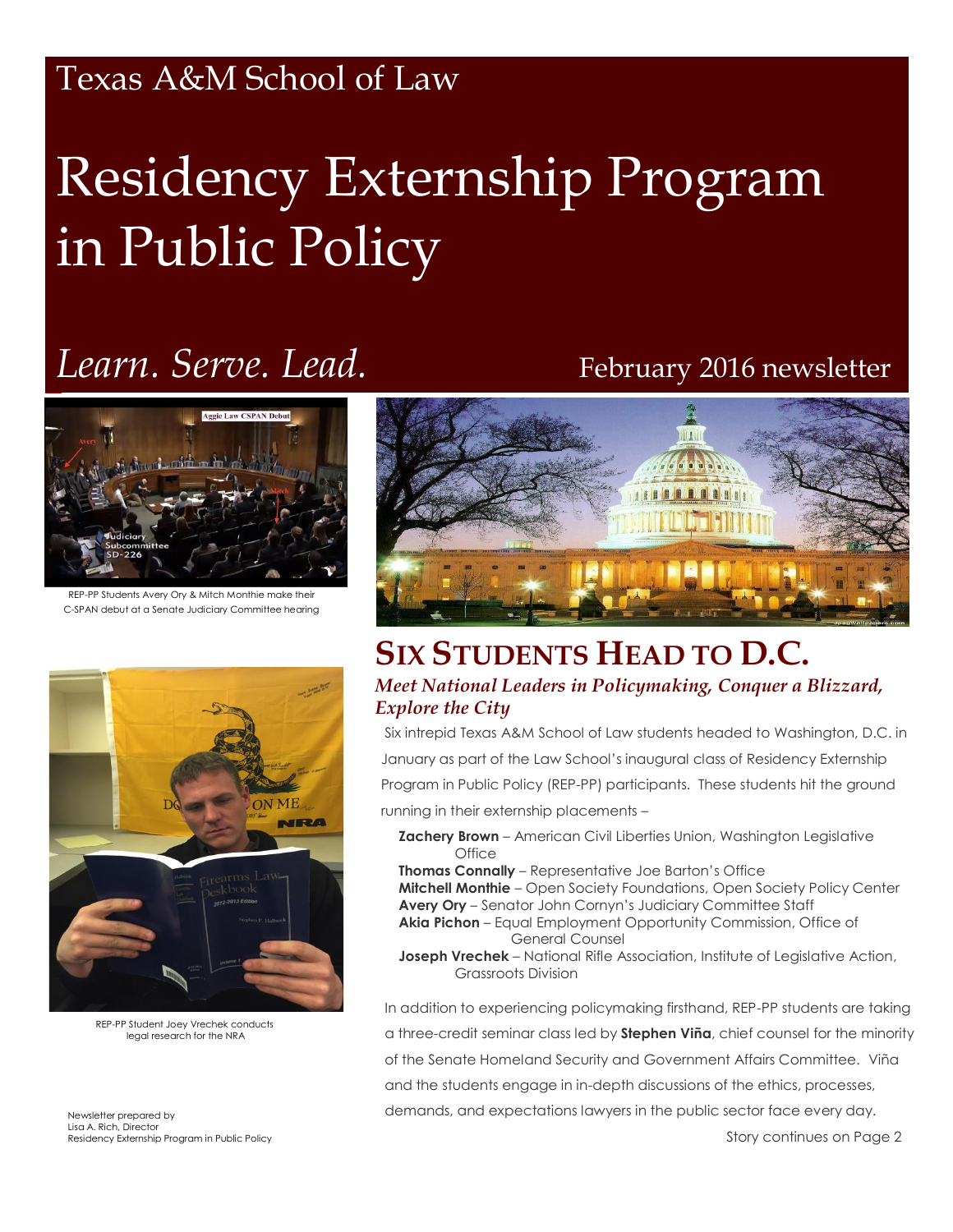### Texas A&M School of Law

# Residency Externship Program in Public Policy

## *Learn. Serve. Lead.* February 2016 newsletter



REP-PP Students Avery Ory & Mitch Monthie make their C-SPAN debut at a Senate Judiciary Committee hearing



REP-PP Student Joey Vrechek conducts legal research for the NRA

Newsletter prepared by Lisa A. Rich, Director Residency Externship Program in Public Policy



#### **SIX STUDENTS HEAD TO D.C.** *Meet National Leaders in Policymaking, Conquer a Blizzard, Explore the City*

Six intrepid Texas A&M School of Law students headed to Washington, D.C. in January as part of the Law School's inaugural class of Residency Externship Program in Public Policy (REP-PP) participants. These students hit the ground running in their externship placements –

**Zachery Brown** – American Civil Liberties Union, Washington Legislative **Office** 

**Thomas Connally** – Representative Joe Barton's Office **Mitchell Monthie** – Open Society Foundations, Open Society Policy Center **Avery Ory** – Senator John Cornyn's Judiciary Committee Staff **Akia Pichon** – Equal Employment Opportunity Commission, Office of

General Counsel **Joseph Vrechek** – National Rifle Association, Institute of Legislative Action,

Grassroots Division

In addition to experiencing policymaking firsthand, REP-PP students are taking a three-credit seminar class led by **Stephen Viña**, chief counsel for the minority of the Senate Homeland Security and Government Affairs Committee. Viña and the students engage in in-depth discussions of the ethics, processes, demands, and expectations lawyers in the public sector face every day.

Story continues on Page 2